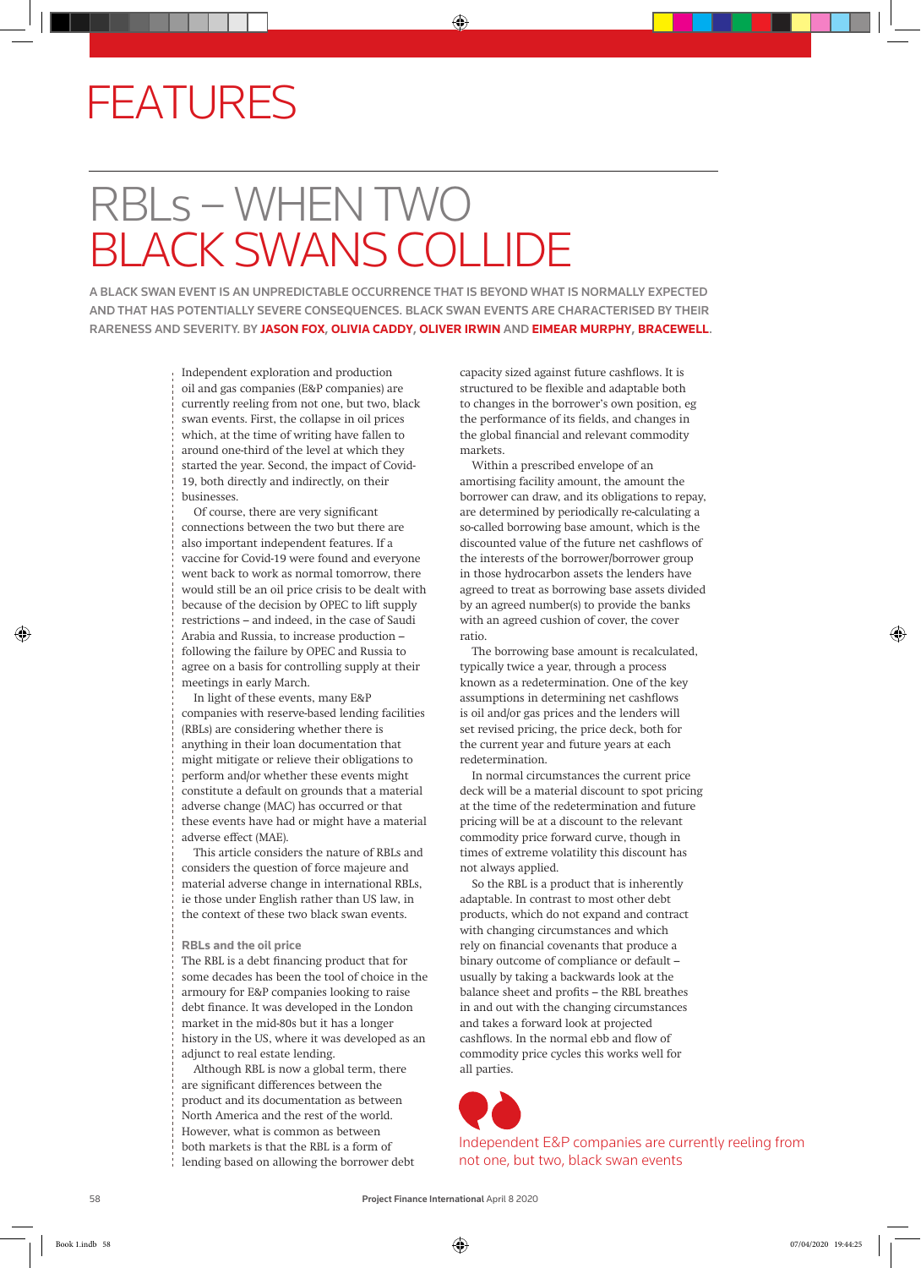## FEATURES

## RBLs – WHEN TWO BLACK SWANS COLLIDE

A BLACK SWAN EVENT IS AN UNPREDICTABLE OCCURRENCE THAT IS BEYOND WHAT IS NORMALLY EXPECTED AND THAT HAS POTENTIALLY SEVERE CONSEQUENCES. BLACK SWAN EVENTS ARE CHARACTERISED BY THEIR RARENESS AND SEVERITY. BY **JASON FOX**, **OLIVIA CADDY**, **OLIVER IRWIN** AND **EIMEAR MURPHY**, **BRACEWELL**.

> Independent exploration and production oil and gas companies (E&P companies) are currently reeling from not one, but two, black swan events. First, the collapse in oil prices which, at the time of writing have fallen to around one-third of the level at which they started the year. Second, the impact of Covid-19, both directly and indirectly, on their businesses.

Of course, there are very significant connections between the two but there are also important independent features. If a vaccine for Covid-19 were found and everyone went back to work as normal tomorrow, there would still be an oil price crisis to be dealt with because of the decision by OPEC to lift supply restrictions – and indeed, in the case of Saudi Arabia and Russia, to increase production – following the failure by OPEC and Russia to agree on a basis for controlling supply at their meetings in early March.

In light of these events, many E&P companies with reserve-based lending facilities (RBLs) are considering whether there is anything in their loan documentation that might mitigate or relieve their obligations to perform and/or whether these events might constitute a default on grounds that a material adverse change (MAC) has occurred or that these events have had or might have a material adverse effect (MAE).

This article considers the nature of RBLs and considers the question of force majeure and material adverse change in international RBLs, ie those under English rather than US law, in the context of these two black swan events.

## **RBLs and the oil price**

The RBL is a debt financing product that for some decades has been the tool of choice in the armoury for E&P companies looking to raise debt finance. It was developed in the London market in the mid-80s but it has a longer history in the US, where it was developed as an adjunct to real estate lending.

Although RBL is now a global term, there are significant differences between the product and its documentation as between North America and the rest of the world. However, what is common as between both markets is that the RBL is a form of lending based on allowing the borrower debt capacity sized against future cashflows. It is structured to be flexible and adaptable both to changes in the borrower's own position, eg the performance of its fields, and changes in the global financial and relevant commodity markets.

Within a prescribed envelope of an amortising facility amount, the amount the borrower can draw, and its obligations to repay, are determined by periodically re-calculating a so-called borrowing base amount, which is the discounted value of the future net cashflows of the interests of the borrower/borrower group in those hydrocarbon assets the lenders have agreed to treat as borrowing base assets divided by an agreed number(s) to provide the banks with an agreed cushion of cover, the cover ratio.

The borrowing base amount is recalculated, typically twice a year, through a process known as a redetermination. One of the key assumptions in determining net cashflows is oil and/or gas prices and the lenders will set revised pricing, the price deck, both for the current year and future years at each redetermination.

In normal circumstances the current price deck will be a material discount to spot pricing at the time of the redetermination and future pricing will be at a discount to the relevant commodity price forward curve, though in times of extreme volatility this discount has not always applied.

So the RBL is a product that is inherently adaptable. In contrast to most other debt products, which do not expand and contract with changing circumstances and which rely on financial covenants that produce a binary outcome of compliance or default – usually by taking a backwards look at the balance sheet and profits – the RBL breathes in and out with the changing circumstances and takes a forward look at projected cashflows. In the normal ebb and flow of commodity price cycles this works well for all parties.



Independent E&P companies are currently reeling from not one, but two, black swan events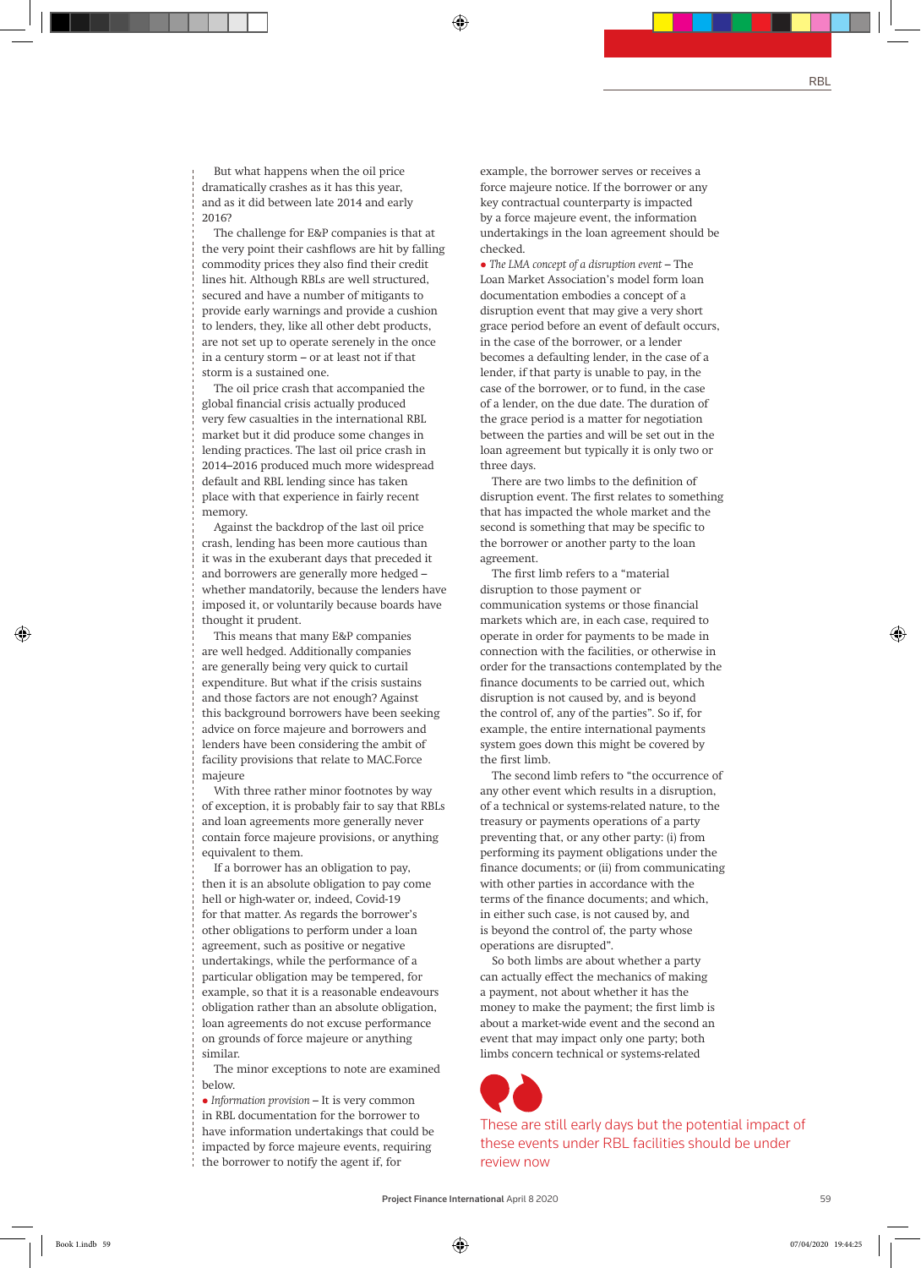But what happens when the oil price dramatically crashes as it has this year, and as it did between late 2014 and early 2016?

The challenge for E&P companies is that at the very point their cashflows are hit by falling commodity prices they also find their credit lines hit. Although RBLs are well structured, secured and have a number of mitigants to provide early warnings and provide a cushion to lenders, they, like all other debt products, are not set up to operate serenely in the once in a century storm – or at least not if that storm is a sustained one.

The oil price crash that accompanied the global financial crisis actually produced very few casualties in the international RBL market but it did produce some changes in lending practices. The last oil price crash in 2014–2016 produced much more widespread default and RBL lending since has taken place with that experience in fairly recent memory.

Against the backdrop of the last oil price crash, lending has been more cautious than it was in the exuberant days that preceded it and borrowers are generally more hedged – whether mandatorily, because the lenders have imposed it, or voluntarily because boards have thought it prudent.

This means that many E&P companies are well hedged. Additionally companies are generally being very quick to curtail expenditure. But what if the crisis sustains and those factors are not enough? Against this background borrowers have been seeking advice on force majeure and borrowers and lenders have been considering the ambit of facility provisions that relate to MAC.Force majeure

With three rather minor footnotes by way of exception, it is probably fair to say that RBLs and loan agreements more generally never contain force majeure provisions, or anything equivalent to them.

If a borrower has an obligation to pay, then it is an absolute obligation to pay come hell or high-water or, indeed, Covid-19 for that matter. As regards the borrower's other obligations to perform under a loan agreement, such as positive or negative undertakings, while the performance of a particular obligation may be tempered, for example, so that it is a reasonable endeavours obligation rather than an absolute obligation, loan agreements do not excuse performance on grounds of force majeure or anything similar.

The minor exceptions to note are examined below.

l *Information provision* – It is very common in RBL documentation for the borrower to have information undertakings that could be impacted by force majeure events, requiring the borrower to notify the agent if, for

example, the borrower serves or receives a force majeure notice. If the borrower or any key contractual counterparty is impacted by a force majeure event, the information undertakings in the loan agreement should be checked.

l *The LMA concept of a disruption event* – The Loan Market Association's model form loan documentation embodies a concept of a disruption event that may give a very short grace period before an event of default occurs, in the case of the borrower, or a lender becomes a defaulting lender, in the case of a lender, if that party is unable to pay, in the case of the borrower, or to fund, in the case of a lender, on the due date. The duration of the grace period is a matter for negotiation between the parties and will be set out in the loan agreement but typically it is only two or three days.

There are two limbs to the definition of disruption event. The first relates to something that has impacted the whole market and the second is something that may be specific to the borrower or another party to the loan agreement.

The first limb refers to a "material disruption to those payment or communication systems or those financial markets which are, in each case, required to operate in order for payments to be made in connection with the facilities, or otherwise in order for the transactions contemplated by the finance documents to be carried out, which disruption is not caused by, and is beyond the control of, any of the parties". So if, for example, the entire international payments system goes down this might be covered by the first limb.

The second limb refers to "the occurrence of any other event which results in a disruption, of a technical or systems-related nature, to the treasury or payments operations of a party preventing that, or any other party: (i) from performing its payment obligations under the finance documents; or (ii) from communicating with other parties in accordance with the terms of the finance documents; and which, in either such case, is not caused by, and is beyond the control of, the party whose operations are disrupted".

So both limbs are about whether a party can actually effect the mechanics of making a payment, not about whether it has the money to make the payment; the first limb is about a market-wide event and the second an event that may impact only one party; both limbs concern technical or systems-related